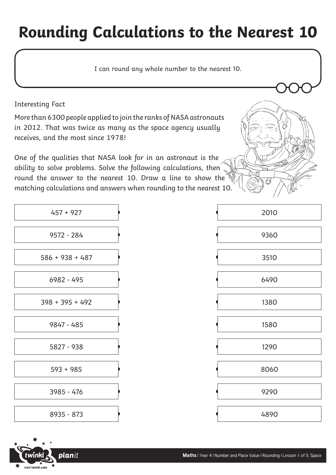## **Rounding Calculations to the Nearest 10**

I can round any whole number to the nearest 10.

Interesting Fact

More than 6300 people applied to join the ranks of NASA astronauts in 2012. That was twice as many as the space agency usually receives, and the most since 1978!

One of the qualities that NASA look for in an astronaut is the ability to solve problems. Solve the following calculations, then round the answer to the nearest 10. Draw a line to show the matching calculations and answers when rounding to the nearest 10.

| $\mathcal{L}$ |  |
|---------------|--|
| 2010          |  |
| 9360          |  |
| 3510          |  |
| 6490          |  |
| 1380          |  |
| 1580          |  |
| 1290          |  |
| 8060          |  |
| 9290          |  |
| 4890          |  |